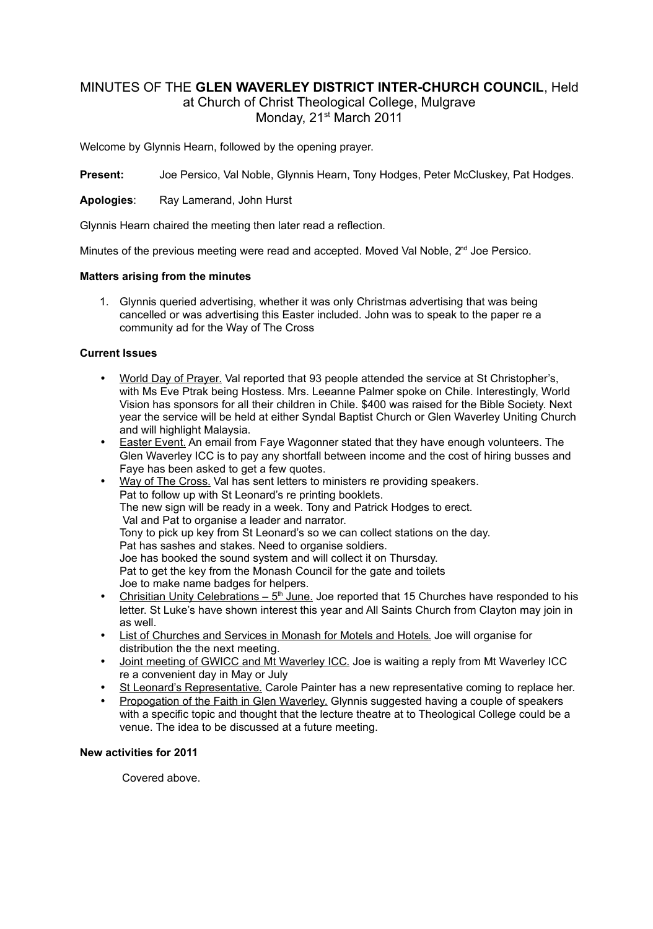# MINUTES OF THE **GLEN WAVERLEY DISTRICT INTER-CHURCH COUNCIL**, Held

at Church of Christ Theological College, Mulgrave Monday, 21<sup>st</sup> March 2011

Welcome by Glynnis Hearn, followed by the opening prayer.

**Present:** Joe Persico, Val Noble, Glynnis Hearn, Tony Hodges, Peter McCluskey, Pat Hodges.

**Apologies**: Ray Lamerand, John Hurst

Glynnis Hearn chaired the meeting then later read a reflection.

Minutes of the previous meeting were read and accepted. Moved Val Noble,  $2<sup>nd</sup>$  Joe Persico.

## **Matters arising from the minutes**

1. Glynnis queried advertising, whether it was only Christmas advertising that was being cancelled or was advertising this Easter included. John was to speak to the paper re a community ad for the Way of The Cross

# **Current Issues**

- World Day of Prayer. Val reported that 93 people attended the service at St Christopher's. with Ms Eve Ptrak being Hostess. Mrs. Leeanne Palmer spoke on Chile. Interestingly, World Vision has sponsors for all their children in Chile. \$400 was raised for the Bible Society. Next year the service will be held at either Syndal Baptist Church or Glen Waverley Uniting Church and will highlight Malaysia.
- Easter Event. An email from Faye Wagonner stated that they have enough volunteers. The Glen Waverley ICC is to pay any shortfall between income and the cost of hiring busses and Faye has been asked to get a few quotes.
- Way of The Cross. Val has sent letters to ministers re providing speakers. Pat to follow up with St Leonard's re printing booklets. The new sign will be ready in a week. Tony and Patrick Hodges to erect. Val and Pat to organise a leader and narrator. Tony to pick up key from St Leonard's so we can collect stations on the day. Pat has sashes and stakes. Need to organise soldiers. Joe has booked the sound system and will collect it on Thursday. Pat to get the key from the Monash Council for the gate and toilets Joe to make name badges for helpers.
- Chrisitian Unity Celebrations  $-5<sup>th</sup>$  June. Joe reported that 15 Churches have responded to his letter. St Luke's have shown interest this year and All Saints Church from Clayton may join in as well.
- List of Churches and Services in Monash for Motels and Hotels. Joe will organise for distribution the the next meeting.
- Joint meeting of GWICC and Mt Waverley ICC. Joe is waiting a reply from Mt Waverley ICC re a convenient day in May or July
- St Leonard's Representative. Carole Painter has a new representative coming to replace her.
- Propogation of the Faith in Glen Waverley. Glynnis suggested having a couple of speakers with a specific topic and thought that the lecture theatre at to Theological College could be a venue. The idea to be discussed at a future meeting.

#### **New activities for 2011**

Covered above.